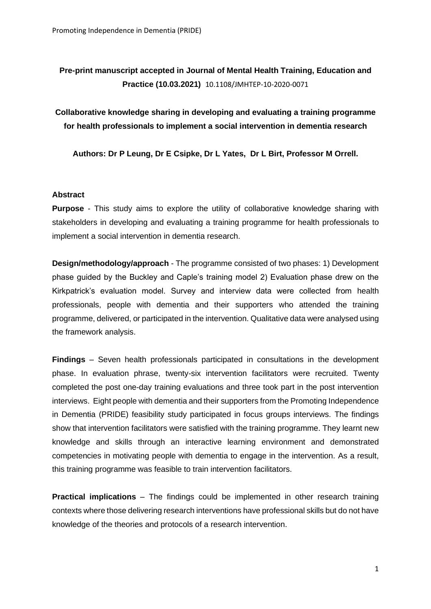# **Pre-print manuscript accepted in Journal of Mental Health Training, Education and Practice (10.03.2021)** 10.1108/JMHTEP-10-2020-0071

**Collaborative knowledge sharing in developing and evaluating a training programme for health professionals to implement a social intervention in dementia research**

**Authors: Dr P Leung, Dr E Csipke, Dr L Yates, Dr L Birt, Professor M Orrell.**

# **Abstract**

**Purpose** - This study aims to explore the utility of collaborative knowledge sharing with stakeholders in developing and evaluating a training programme for health professionals to implement a social intervention in dementia research.

**Design/methodology/approach** - The programme consisted of two phases: 1) Development phase guided by the Buckley and Caple's training model 2) Evaluation phase drew on the Kirkpatrick's evaluation model. Survey and interview data were collected from health professionals, people with dementia and their supporters who attended the training programme, delivered, or participated in the intervention. Qualitative data were analysed using the framework analysis.

**Findings** – Seven health professionals participated in consultations in the development phase. In evaluation phrase, twenty-six intervention facilitators were recruited. Twenty completed the post one-day training evaluations and three took part in the post intervention interviews. Eight people with dementia and their supporters from the Promoting Independence in Dementia (PRIDE) feasibility study participated in focus groups interviews. The findings show that intervention facilitators were satisfied with the training programme. They learnt new knowledge and skills through an interactive learning environment and demonstrated competencies in motivating people with dementia to engage in the intervention. As a result, this training programme was feasible to train intervention facilitators.

**Practical implications** – The findings could be implemented in other research training contexts where those delivering research interventions have professional skills but do not have knowledge of the theories and protocols of a research intervention.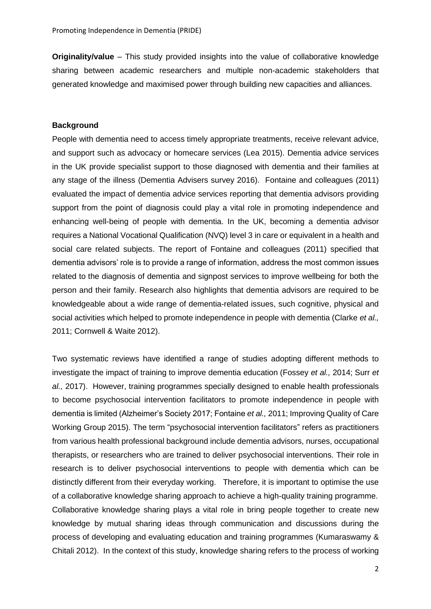**Originality/value** – This study provided insights into the value of collaborative knowledge sharing between academic researchers and multiple non-academic stakeholders that generated knowledge and maximised power through building new capacities and alliances.

#### **Background**

People with dementia need to access timely appropriate treatments, receive relevant advice, and support such as advocacy or homecare services (Lea 2015). Dementia advice services in the UK provide specialist support to those diagnosed with dementia and their families at any stage of the illness (Dementia Advisers survey 2016). Fontaine and colleagues (2011) evaluated the impact of dementia advice services reporting that dementia advisors providing support from the point of diagnosis could play a vital role in promoting independence and enhancing well-being of people with dementia. In the UK, becoming a dementia advisor requires a National Vocational Qualification (NVQ) level 3 in care or equivalent in a health and social care related subjects. The report of Fontaine and colleagues (2011) specified that dementia advisors' role is to provide a range of information, address the most common issues related to the diagnosis of dementia and signpost services to improve wellbeing for both the person and their family. Research also highlights that dementia advisors are required to be knowledgeable about a wide range of dementia-related issues, such cognitive, physical and social activities which helped to promote independence in people with dementia (Clarke *et al.,* 2011; Cornwell & Waite 2012).

Two systematic reviews have identified a range of studies adopting different methods to investigate the impact of training to improve dementia education (Fossey *et al.,* 2014; Surr *et al.,* 2017). However, training programmes specially designed to enable health professionals to become psychosocial intervention facilitators to promote independence in people with dementia is limited (Alzheimer's Society 2017; Fontaine *et al.,* 2011; Improving Quality of Care Working Group 2015). The term "psychosocial intervention facilitators" refers as practitioners from various health professional background include dementia advisors, nurses, occupational therapists, or researchers who are trained to deliver psychosocial interventions. Their role in research is to deliver psychosocial interventions to people with dementia which can be distinctly different from their everyday working. Therefore, it is important to optimise the use of a collaborative knowledge sharing approach to achieve a high-quality training programme. Collaborative knowledge sharing plays a vital role in bring people together to create new knowledge by mutual sharing ideas through communication and discussions during the process of developing and evaluating education and training programmes (Kumaraswamy & Chitali 2012). In the context of this study, knowledge sharing refers to the process of working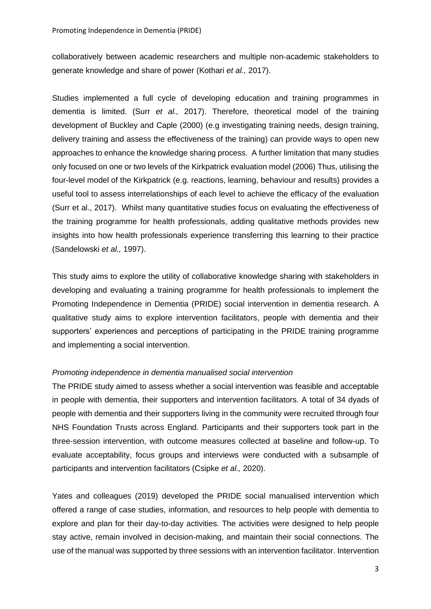collaboratively between academic researchers and multiple non-academic stakeholders to generate knowledge and share of power (Kothari *et al.,* 2017).

Studies implemented a full cycle of developing education and training programmes in dementia is limited. (Surr *et al.,* 2017). Therefore, theoretical model of the training development of Buckley and Caple (2000) (e.g investigating training needs, design training, delivery training and assess the effectiveness of the training) can provide ways to open new approaches to enhance the knowledge sharing process. A further limitation that many studies only focused on one or two levels of the Kirkpatrick evaluation model (2006) Thus, utilising the four-level model of the Kirkpatrick (e.g. reactions, learning, behaviour and results) provides a useful tool to assess interrelationships of each level to achieve the efficacy of the evaluation (Surr et al., 2017). Whilst many quantitative studies focus on evaluating the effectiveness of the training programme for health professionals, adding qualitative methods provides new insights into how health professionals experience transferring this learning to their practice (Sandelowski *et al.,* 1997).

This study aims to explore the utility of collaborative knowledge sharing with stakeholders in developing and evaluating a training programme for health professionals to implement the Promoting Independence in Dementia (PRIDE) social intervention in dementia research. A qualitative study aims to explore intervention facilitators, people with dementia and their supporters' experiences and perceptions of participating in the PRIDE training programme and implementing a social intervention.

#### *Promoting independence in dementia manualised social intervention*

The PRIDE study aimed to assess whether a social intervention was feasible and acceptable in people with dementia, their supporters and intervention facilitators. A total of 34 dyads of people with dementia and their supporters living in the community were recruited through four NHS Foundation Trusts across England. Participants and their supporters took part in the three-session intervention, with outcome measures collected at baseline and follow-up. To evaluate acceptability, focus groups and interviews were conducted with a subsample of participants and intervention facilitators (Csipke *et al.,* 2020).

Yates and colleagues (2019) developed the PRIDE social manualised intervention which offered a range of case studies, information, and resources to help people with dementia to explore and plan for their day-to-day activities. The activities were designed to help people stay active, remain involved in decision-making, and maintain their social connections. The use of the manual was supported by three sessions with an intervention facilitator. Intervention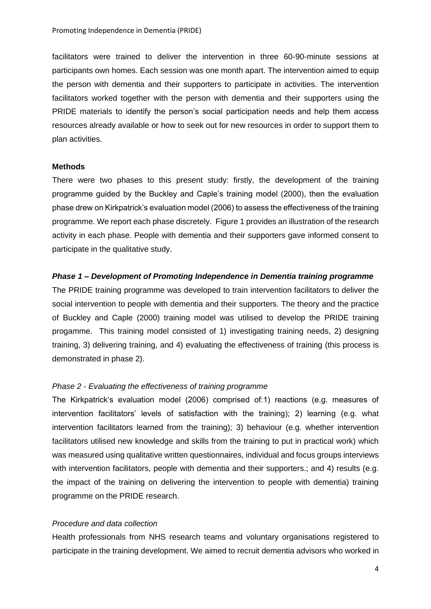facilitators were trained to deliver the intervention in three 60-90-minute sessions at participants own homes. Each session was one month apart. The intervention aimed to equip the person with dementia and their supporters to participate in activities. The intervention facilitators worked together with the person with dementia and their supporters using the PRIDE materials to identify the person's social participation needs and help them access resources already available or how to seek out for new resources in order to support them to plan activities.

#### **Methods**

There were two phases to this present study: firstly, the development of the training programme guided by the Buckley and Caple's training model (2000), then the evaluation phase drew on Kirkpatrick's evaluation model (2006) to assess the effectiveness of the training programme. We report each phase discretely. Figure 1 provides an illustration of the research activity in each phase. People with dementia and their supporters gave informed consent to participate in the qualitative study.

#### *Phase 1 – Development of Promoting Independence in Dementia training programme*

The PRIDE training programme was developed to train intervention facilitators to deliver the social intervention to people with dementia and their supporters. The theory and the practice of Buckley and Caple (2000) training model was utilised to develop the PRIDE training progamme. This training model consisted of 1) investigating training needs, 2) designing training, 3) delivering training, and 4) evaluating the effectiveness of training (this process is demonstrated in phase 2).

#### *Phase 2 - Evaluating the effectiveness of training programme*

The Kirkpatrick's evaluation model (2006) comprised of:1) reactions (e.g. measures of intervention facilitators' levels of satisfaction with the training); 2) learning (e.g. what intervention facilitators learned from the training); 3) behaviour (e.g. whether intervention facilitators utilised new knowledge and skills from the training to put in practical work) which was measured using qualitative written questionnaires, individual and focus groups interviews with intervention facilitators, people with dementia and their supporters.; and 4) results (e.g. the impact of the training on delivering the intervention to people with dementia) training programme on the PRIDE research.

#### *Procedure and data collection*

Health professionals from NHS research teams and voluntary organisations registered to participate in the training development. We aimed to recruit dementia advisors who worked in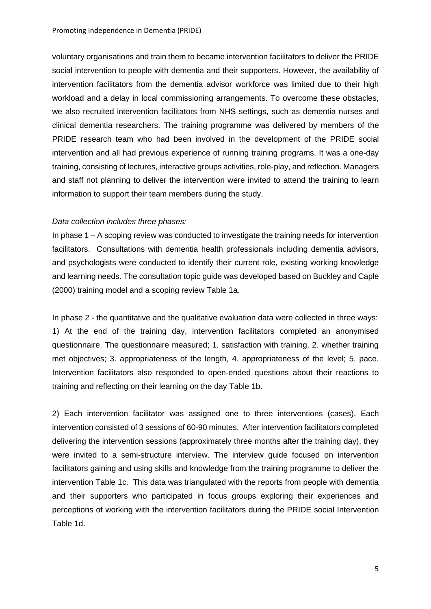voluntary organisations and train them to became intervention facilitators to deliver the PRIDE social intervention to people with dementia and their supporters. However, the availability of intervention facilitators from the dementia advisor workforce was limited due to their high workload and a delay in local commissioning arrangements. To overcome these obstacles, we also recruited intervention facilitators from NHS settings, such as dementia nurses and clinical dementia researchers. The training programme was delivered by members of the PRIDE research team who had been involved in the development of the PRIDE social intervention and all had previous experience of running training programs. It was a one-day training, consisting of lectures, interactive groups activities, role-play, and reflection. Managers and staff not planning to deliver the intervention were invited to attend the training to learn information to support their team members during the study.

#### *Data collection includes three phases:*

In phase 1 – A scoping review was conducted to investigate the training needs for intervention facilitators. Consultations with dementia health professionals including dementia advisors, and psychologists were conducted to identify their current role, existing working knowledge and learning needs. The consultation topic guide was developed based on Buckley and Caple (2000) training model and a scoping review Table 1a.

In phase 2 - the quantitative and the qualitative evaluation data were collected in three ways: 1) At the end of the training day, intervention facilitators completed an anonymised questionnaire. The questionnaire measured; 1. satisfaction with training, 2. whether training met objectives; 3. appropriateness of the length, 4. appropriateness of the level; 5. pace. Intervention facilitators also responded to open-ended questions about their reactions to training and reflecting on their learning on the day Table 1b.

2) Each intervention facilitator was assigned one to three interventions (cases). Each intervention consisted of 3 sessions of 60-90 minutes. After intervention facilitators completed delivering the intervention sessions (approximately three months after the training day), they were invited to a semi-structure interview. The interview guide focused on intervention facilitators gaining and using skills and knowledge from the training programme to deliver the intervention Table 1c. This data was triangulated with the reports from people with dementia and their supporters who participated in focus groups exploring their experiences and perceptions of working with the intervention facilitators during the PRIDE social Intervention Table 1d.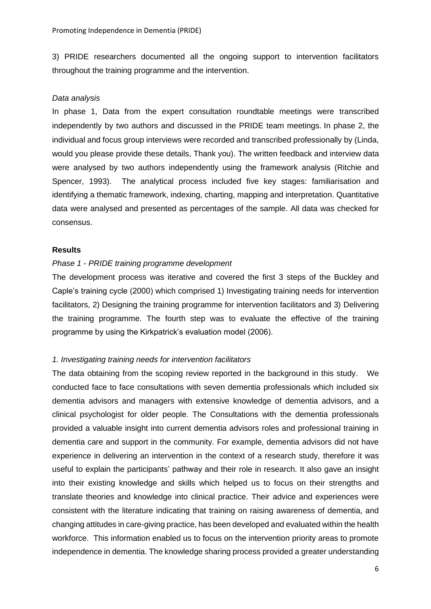3) PRIDE researchers documented all the ongoing support to intervention facilitators throughout the training programme and the intervention.

#### *Data analysis*

In phase 1, Data from the expert consultation roundtable meetings were transcribed independently by two authors and discussed in the PRIDE team meetings. In phase 2, the individual and focus group interviews were recorded and transcribed professionally by (Linda, would you please provide these details, Thank you). The written feedback and interview data were analysed by two authors independently using the framework analysis (Ritchie and Spencer, 1993). The analytical process included five key stages: familiarisation and identifying a thematic framework, indexing, charting, mapping and interpretation. Quantitative data were analysed and presented as percentages of the sample. All data was checked for consensus.

#### **Results**

#### *Phase 1 - PRIDE training programme development*

The development process was iterative and covered the first 3 steps of the Buckley and Caple's training cycle (2000) which comprised 1) Investigating training needs for intervention facilitators, 2) Designing the training programme for intervention facilitators and 3) Delivering the training programme. The fourth step was to evaluate the effective of the training programme by using the Kirkpatrick's evaluation model (2006).

#### *1. Investigating training needs for intervention facilitators*

The data obtaining from the scoping review reported in the background in this study. We conducted face to face consultations with seven dementia professionals which included six dementia advisors and managers with extensive knowledge of dementia advisors, and a clinical psychologist for older people. The Consultations with the dementia professionals provided a valuable insight into current dementia advisors roles and professional training in dementia care and support in the community. For example, dementia advisors did not have experience in delivering an intervention in the context of a research study, therefore it was useful to explain the participants' pathway and their role in research. It also gave an insight into their existing knowledge and skills which helped us to focus on their strengths and translate theories and knowledge into clinical practice. Their advice and experiences were consistent with the literature indicating that training on raising awareness of dementia, and changing attitudes in care-giving practice, has been developed and evaluated within the health workforce. This information enabled us to focus on the intervention priority areas to promote independence in dementia. The knowledge sharing process provided a greater understanding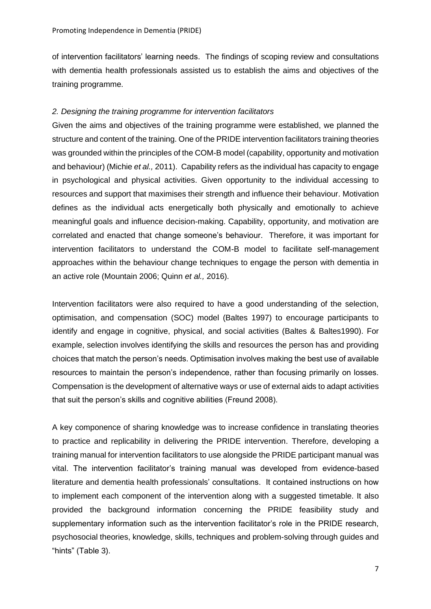of intervention facilitators' learning needs. The findings of scoping review and consultations with dementia health professionals assisted us to establish the aims and objectives of the training programme.

#### *2. Designing the training programme for intervention facilitators*

Given the aims and objectives of the training programme were established, we planned the structure and content of the training. One of the PRIDE intervention facilitators training theories was grounded within the principles of the COM-B model (capability, opportunity and motivation and behaviour) (Michie *et al.,* 2011). Capability refers as the individual has capacity to engage in psychological and physical activities. Given opportunity to the individual accessing to resources and support that maximises their strength and influence their behaviour. Motivation defines as the individual acts energetically both physically and emotionally to achieve meaningful goals and influence decision-making. Capability, opportunity, and motivation are correlated and enacted that change someone's behaviour. Therefore, it was important for intervention facilitators to understand the COM-B model to facilitate self-management approaches within the behaviour change techniques to engage the person with dementia in an active role (Mountain 2006; Quinn *et al.,* 2016).

Intervention facilitators were also required to have a good understanding of the selection, optimisation, and compensation (SOC) model (Baltes 1997) to encourage participants to identify and engage in cognitive, physical, and social activities (Baltes & Baltes1990). For example, selection involves identifying the skills and resources the person has and providing choices that match the person's needs. Optimisation involves making the best use of available resources to maintain the person's independence, rather than focusing primarily on losses. Compensation is the development of alternative ways or use of external aids to adapt activities that suit the person's skills and cognitive abilities (Freund 2008).

A key componence of sharing knowledge was to increase confidence in translating theories to practice and replicability in delivering the PRIDE intervention. Therefore, developing a training manual for intervention facilitators to use alongside the PRIDE participant manual was vital. The intervention facilitator's training manual was developed from evidence-based literature and dementia health professionals' consultations. It contained instructions on how to implement each component of the intervention along with a suggested timetable. It also provided the background information concerning the PRIDE feasibility study and supplementary information such as the intervention facilitator's role in the PRIDE research, psychosocial theories, knowledge, skills, techniques and problem-solving through guides and "hints" (Table 3).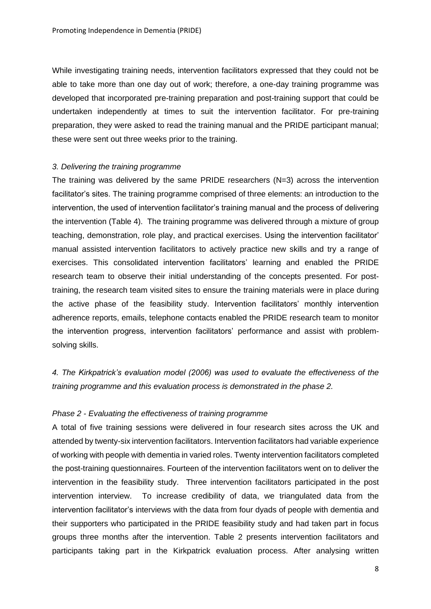While investigating training needs, intervention facilitators expressed that they could not be able to take more than one day out of work; therefore, a one-day training programme was developed that incorporated pre-training preparation and post-training support that could be undertaken independently at times to suit the intervention facilitator. For pre-training preparation, they were asked to read the training manual and the PRIDE participant manual; these were sent out three weeks prior to the training.

#### *3. Delivering the training programme*

The training was delivered by the same PRIDE researchers  $(N=3)$  across the intervention facilitator's sites. The training programme comprised of three elements: an introduction to the intervention, the used of intervention facilitator's training manual and the process of delivering the intervention (Table 4). The training programme was delivered through a mixture of group teaching, demonstration, role play, and practical exercises. Using the intervention facilitator' manual assisted intervention facilitators to actively practice new skills and try a range of exercises. This consolidated intervention facilitators' learning and enabled the PRIDE research team to observe their initial understanding of the concepts presented. For posttraining, the research team visited sites to ensure the training materials were in place during the active phase of the feasibility study. Intervention facilitators' monthly intervention adherence reports, emails, telephone contacts enabled the PRIDE research team to monitor the intervention progress, intervention facilitators' performance and assist with problemsolving skills.

*4. The Kirkpatrick's evaluation model (2006) was used to evaluate the effectiveness of the training programme and this evaluation process is demonstrated in the phase 2.*

#### *Phase 2 - Evaluating the effectiveness of training programme*

A total of five training sessions were delivered in four research sites across the UK and attended by twenty-six intervention facilitators. Intervention facilitators had variable experience of working with people with dementia in varied roles. Twenty intervention facilitators completed the post-training questionnaires. Fourteen of the intervention facilitators went on to deliver the intervention in the feasibility study. Three intervention facilitators participated in the post intervention interview. To increase credibility of data, we triangulated data from the intervention facilitator's interviews with the data from four dyads of people with dementia and their supporters who participated in the PRIDE feasibility study and had taken part in focus groups three months after the intervention. Table 2 presents intervention facilitators and participants taking part in the Kirkpatrick evaluation process. After analysing written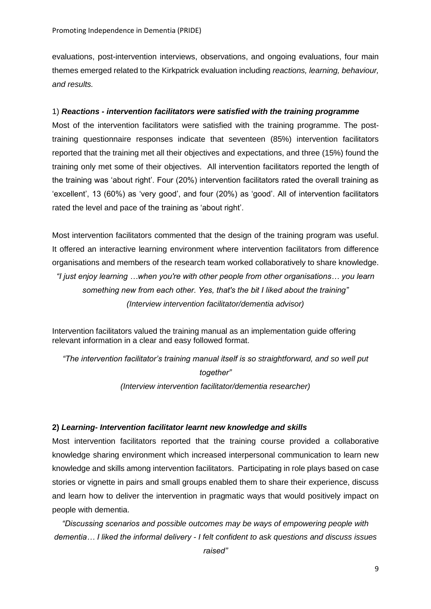evaluations, post-intervention interviews, observations, and ongoing evaluations, four main themes emerged related to the Kirkpatrick evaluation including *reactions, learning, behaviour, and results.* 

# 1) *Reactions - intervention facilitators were satisfied with the training programme*

Most of the intervention facilitators were satisfied with the training programme. The posttraining questionnaire responses indicate that seventeen (85%) intervention facilitators reported that the training met all their objectives and expectations, and three (15%) found the training only met some of their objectives. All intervention facilitators reported the length of the training was 'about right'. Four (20%) intervention facilitators rated the overall training as 'excellent', 13 (60%) as 'very good', and four (20%) as 'good'. All of intervention facilitators rated the level and pace of the training as 'about right'.

Most intervention facilitators commented that the design of the training program was useful. It offered an interactive learning environment where intervention facilitators from difference organisations and members of the research team worked collaboratively to share knowledge. *"I just enjoy learning …when you're with other people from other organisations… you learn something new from each other. Yes, that's the bit I liked about the training" (Interview intervention facilitator/dementia advisor)*

Intervention facilitators valued the training manual as an implementation guide offering relevant information in a clear and easy followed format.

*"The intervention facilitator's training manual itself is so straightforward, and so well put together" (Interview intervention facilitator/dementia researcher)*

# **2)** *Learning- Intervention facilitator learnt new knowledge and skills*

Most intervention facilitators reported that the training course provided a collaborative knowledge sharing environment which increased interpersonal communication to learn new knowledge and skills among intervention facilitators. Participating in role plays based on case stories or vignette in pairs and small groups enabled them to share their experience, discuss and learn how to deliver the intervention in pragmatic ways that would positively impact on people with dementia.

*"Discussing scenarios and possible outcomes may be ways of empowering people with dementia… I liked the informal delivery - I felt confident to ask questions and discuss issues* 

*raised"*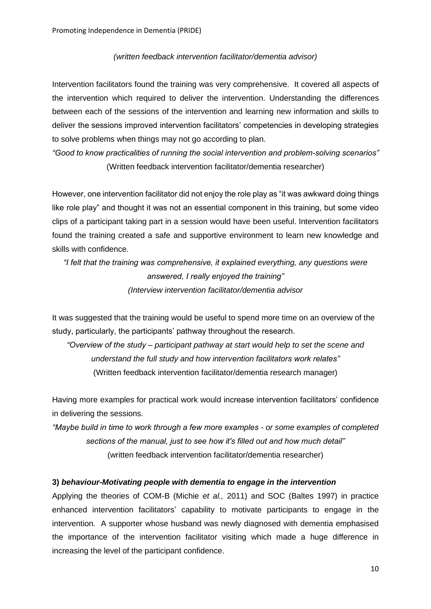#### *(written feedback intervention facilitator/dementia advisor)*

Intervention facilitators found the training was very comprehensive. It covered all aspects of the intervention which required to deliver the intervention. Understanding the differences between each of the sessions of the intervention and learning new information and skills to deliver the sessions improved intervention facilitators' competencies in developing strategies to solve problems when things may not go according to plan.

*"Good to know practicalities of running the social intervention and problem-solving scenarios"* (Written feedback intervention facilitator/dementia researcher)

However, one intervention facilitator did not enjoy the role play as "it was awkward doing things like role play" and thought it was not an essential component in this training, but some video clips of a participant taking part in a session would have been useful. Intervention facilitators found the training created a safe and supportive environment to learn new knowledge and skills with confidence.

*"I felt that the training was comprehensive, it explained everything, any questions were answered, I really enjoyed the training" (Interview intervention facilitator/dementia advisor*

It was suggested that the training would be useful to spend more time on an overview of the study, particularly, the participants' pathway throughout the research.

*"Overview of the study – participant pathway at start would help to set the scene and understand the full study and how intervention facilitators work relates"* (Written feedback intervention facilitator/dementia research manager)

Having more examples for practical work would increase intervention facilitators' confidence in delivering the sessions.

*"Maybe build in time to work through a few more examples - or some examples of completed sections of the manual, just to see how it's filled out and how much detail"* (written feedback intervention facilitator/dementia researcher)

#### **3)** *behaviour-Motivating people with dementia to engage in the intervention*

Applying the theories of COM-B (Michie *et al.,* 2011) and SOC (Baltes 1997) in practice enhanced intervention facilitators' capability to motivate participants to engage in the intervention. A supporter whose husband was newly diagnosed with dementia emphasised the importance of the intervention facilitator visiting which made a huge difference in increasing the level of the participant confidence.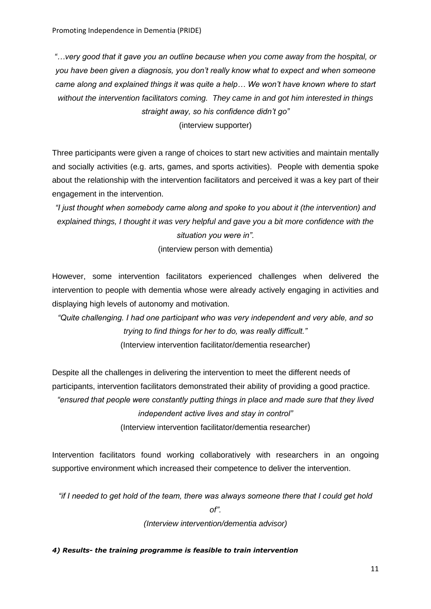*"…very good that it gave you an outline because when you come away from the hospital, or you have been given a diagnosis, you don't really know what to expect and when someone came along and explained things it was quite a help… We won't have known where to start without the intervention facilitators coming. They came in and got him interested in things straight away, so his confidence didn't go"*

(interview supporter)

Three participants were given a range of choices to start new activities and maintain mentally and socially activities (e.g. arts, games, and sports activities). People with dementia spoke about the relationship with the intervention facilitators and perceived it was a key part of their engagement in the intervention.

*"I just thought when somebody came along and spoke to you about it (the intervention) and explained things, I thought it was very helpful and gave you a bit more confidence with the situation you were in".*

(interview person with dementia)

However, some intervention facilitators experienced challenges when delivered the intervention to people with dementia whose were already actively engaging in activities and displaying high levels of autonomy and motivation.

*"Quite challenging. I had one participant who was very independent and very able, and so trying to find things for her to do, was really difficult."* (Interview intervention facilitator/dementia researcher)

Despite all the challenges in delivering the intervention to meet the different needs of participants, intervention facilitators demonstrated their ability of providing a good practice.

*"ensured that people were constantly putting things in place and made sure that they lived independent active lives and stay in control"*

(Interview intervention facilitator/dementia researcher)

Intervention facilitators found working collaboratively with researchers in an ongoing supportive environment which increased their competence to deliver the intervention.

*"if I needed to get hold of the team, there was always someone there that I could get hold* 

*of".*

*(Interview intervention/dementia advisor)*

# *4) Results- the training programme is feasible to train intervention*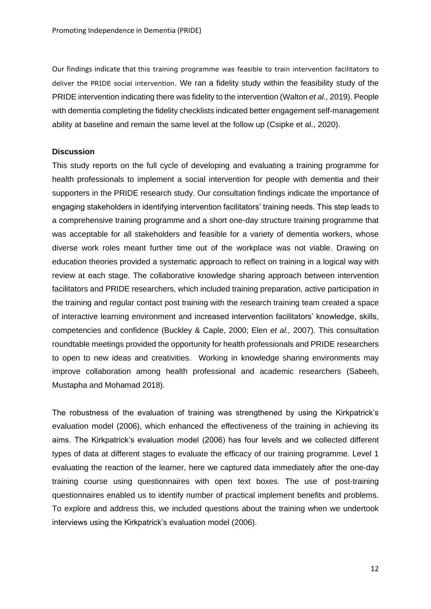Our findings indicate that this training programme was feasible to train intervention facilitators to deliver the PRIDE social intervention. We ran a fidelity study within the feasibility study of the PRIDE intervention indicating there was fidelity to the intervention (Walton *et al.,* 2019). People with dementia completing the fidelity checklists indicated better engagement self-management ability at baseline and remain the same level at the follow up (Csipke et al., 2020).

#### **Discussion**

This study reports on the full cycle of developing and evaluating a training programme for health professionals to implement a social intervention for people with dementia and their supporters in the PRIDE research study. Our consultation findings indicate the importance of engaging stakeholders in identifying intervention facilitators' training needs. This step leads to a comprehensive training programme and a short one-day structure training programme that was acceptable for all stakeholders and feasible for a variety of dementia workers, whose diverse work roles meant further time out of the workplace was not viable. Drawing on education theories provided a systematic approach to reflect on training in a logical way with review at each stage. The collaborative knowledge sharing approach between intervention facilitators and PRIDE researchers, which included training preparation, active participation in the training and regular contact post training with the research training team created a space of interactive learning environment and increased intervention facilitators' knowledge, skills, competencies and confidence (Buckley & Caple, 2000; Elen *et al.,* 2007). This consultation roundtable meetings provided the opportunity for health professionals and PRIDE researchers to open to new ideas and creativities. Working in knowledge sharing environments may improve collaboration among health professional and academic researchers (Sabeeh, Mustapha and Mohamad 2018).

The robustness of the evaluation of training was strengthened by using the Kirkpatrick's evaluation model (2006), which enhanced the effectiveness of the training in achieving its aims. The Kirkpatrick's evaluation model (2006) has four levels and we collected different types of data at different stages to evaluate the efficacy of our training programme. Level 1 evaluating the reaction of the learner, here we captured data immediately after the one-day training course using questionnaires with open text boxes. The use of post-training questionnaires enabled us to identify number of practical implement benefits and problems. To explore and address this, we included questions about the training when we undertook interviews using the Kirkpatrick's evaluation model (2006).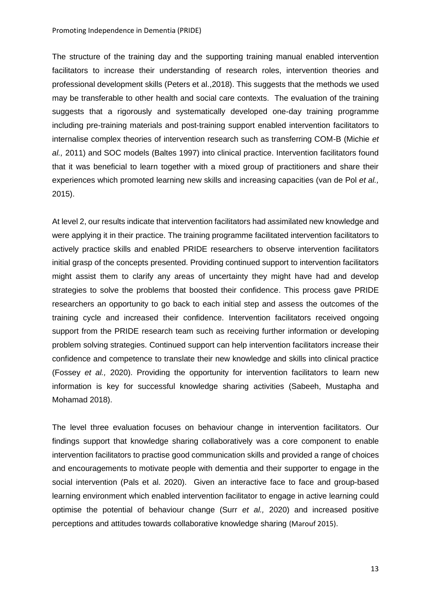The structure of the training day and the supporting training manual enabled intervention facilitators to increase their understanding of research roles, intervention theories and professional development skills (Peters et al.,2018). This suggests that the methods we used may be transferable to other health and social care contexts. The evaluation of the training suggests that a rigorously and systematically developed one-day training programme including pre-training materials and post-training support enabled intervention facilitators to internalise complex theories of intervention research such as transferring COM-B (Michie *et al.,* 2011) and SOC models (Baltes 1997) into clinical practice. Intervention facilitators found that it was beneficial to learn together with a mixed group of practitioners and share their experiences which promoted learning new skills and increasing capacities (van de Pol *et al.,* 2015).

At level 2, our results indicate that intervention facilitators had assimilated new knowledge and were applying it in their practice. The training programme facilitated intervention facilitators to actively practice skills and enabled PRIDE researchers to observe intervention facilitators initial grasp of the concepts presented. Providing continued support to intervention facilitators might assist them to clarify any areas of uncertainty they might have had and develop strategies to solve the problems that boosted their confidence. This process gave PRIDE researchers an opportunity to go back to each initial step and assess the outcomes of the training cycle and increased their confidence. Intervention facilitators received ongoing support from the PRIDE research team such as receiving further information or developing problem solving strategies. Continued support can help intervention facilitators increase their confidence and competence to translate their new knowledge and skills into clinical practice (Fossey *et al.,* 2020). Providing the opportunity for intervention facilitators to learn new information is key for successful knowledge sharing activities (Sabeeh, Mustapha and Mohamad 2018).

The level three evaluation focuses on behaviour change in intervention facilitators. Our findings support that knowledge sharing collaboratively was a core component to enable intervention facilitators to practise good communication skills and provided a range of choices and encouragements to motivate people with dementia and their supporter to engage in the social intervention (Pals et al. 2020). Given an interactive face to face and group-based learning environment which enabled intervention facilitator to engage in active learning could optimise the potential of behaviour change (Surr *et al.,* 2020) and increased positive perceptions and attitudes towards collaborative knowledge sharing (Marouf 2015).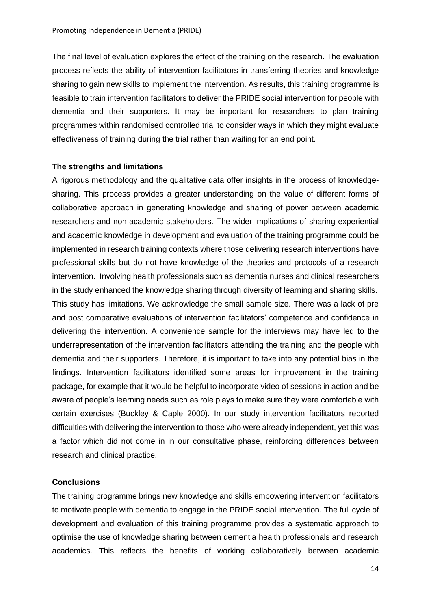The final level of evaluation explores the effect of the training on the research. The evaluation process reflects the ability of intervention facilitators in transferring theories and knowledge sharing to gain new skills to implement the intervention. As results, this training programme is feasible to train intervention facilitators to deliver the PRIDE social intervention for people with dementia and their supporters. It may be important for researchers to plan training programmes within randomised controlled trial to consider ways in which they might evaluate effectiveness of training during the trial rather than waiting for an end point.

#### **The strengths and limitations**

A rigorous methodology and the qualitative data offer insights in the process of knowledgesharing. This process provides a greater understanding on the value of different forms of collaborative approach in generating knowledge and sharing of power between academic researchers and non-academic stakeholders. The wider implications of sharing experiential and academic knowledge in development and evaluation of the training programme could be implemented in research training contexts where those delivering research interventions have professional skills but do not have knowledge of the theories and protocols of a research intervention. Involving health professionals such as dementia nurses and clinical researchers in the study enhanced the knowledge sharing through diversity of learning and sharing skills. This study has limitations. We acknowledge the small sample size. There was a lack of pre and post comparative evaluations of intervention facilitators' competence and confidence in delivering the intervention. A convenience sample for the interviews may have led to the underrepresentation of the intervention facilitators attending the training and the people with dementia and their supporters. Therefore, it is important to take into any potential bias in the findings. Intervention facilitators identified some areas for improvement in the training package, for example that it would be helpful to incorporate video of sessions in action and be aware of people's learning needs such as role plays to make sure they were comfortable with certain exercises (Buckley & Caple 2000). In our study intervention facilitators reported difficulties with delivering the intervention to those who were already independent, yet this was a factor which did not come in in our consultative phase, reinforcing differences between research and clinical practice.

#### **Conclusions**

The training programme brings new knowledge and skills empowering intervention facilitators to motivate people with dementia to engage in the PRIDE social intervention. The full cycle of development and evaluation of this training programme provides a systematic approach to optimise the use of knowledge sharing between dementia health professionals and research academics. This reflects the benefits of working collaboratively between academic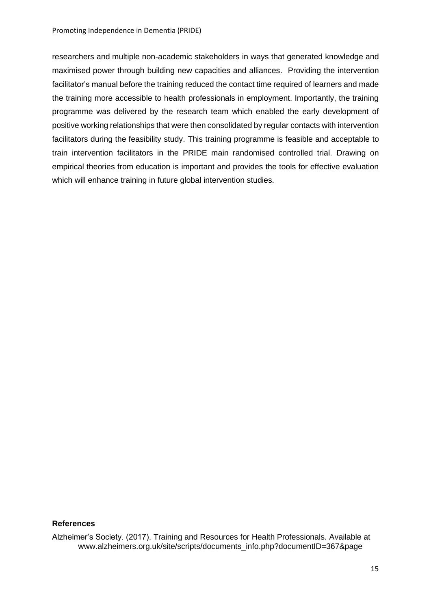researchers and multiple non-academic stakeholders in ways that generated knowledge and maximised power through building new capacities and alliances. Providing the intervention facilitator's manual before the training reduced the contact time required of learners and made the training more accessible to health professionals in employment. Importantly, the training programme was delivered by the research team which enabled the early development of positive working relationships that were then consolidated by regular contacts with intervention facilitators during the feasibility study. This training programme is feasible and acceptable to train intervention facilitators in the PRIDE main randomised controlled trial. Drawing on empirical theories from education is important and provides the tools for effective evaluation which will enhance training in future global intervention studies.

### **References**

Alzheimer's Society. (2017). Training and Resources for Health Professionals. Available at www.alzheimers.org.uk/site/scripts/documents\_info.php?documentID=367&page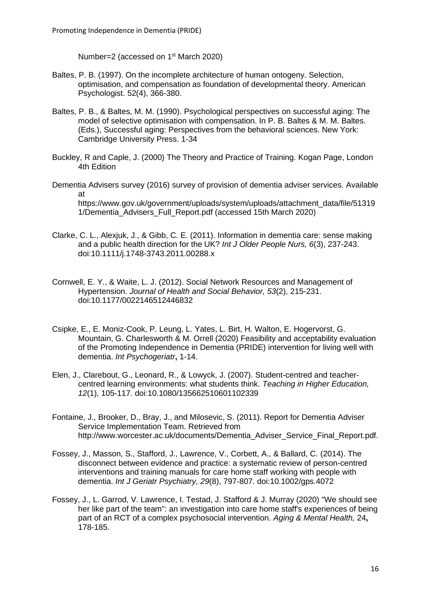Number=2 (accessed on 1<sup>st</sup> March 2020)

- Baltes, P. B. (1997). On the incomplete architecture of human ontogeny. Selection, optimisation, and compensation as foundation of developmental theory. American Psychologist. 52(4), 366-380.
- Baltes, P. B., & Baltes, M. M. (1990). Psychological perspectives on successful aging: The model of selective optimisation with compensation. In P. B. Baltes & M. M. Baltes. (Eds.), Successful aging: Perspectives from the behavioral sciences. New York: Cambridge University Press. 1-34
- Buckley, R and Caple, J. (2000) The Theory and Practice of Training. Kogan Page, London 4th Edition
- Dementia Advisers survey (2016) survey of provision of dementia adviser services. Available at https://www.gov.uk/government/uploads/system/uploads/attachment\_data/file/51319 1/Dementia\_Advisers\_Full\_Report.pdf (accessed 15th March 2020)
- Clarke, C. L., Alexjuk, J., & Gibb, C. E. (2011). Information in dementia care: sense making and a public health direction for the UK? *Int J Older People Nurs, 6*(3), 237-243. doi:10.1111/j.1748-3743.2011.00288.x
- Cornwell, E. Y., & Waite, L. J. (2012). Social Network Resources and Management of Hypertension. *Journal of Health and Social Behavior, 53*(2), 215-231. doi:10.1177/0022146512446832
- Csipke, E., E. Moniz-Cook, P. Leung, L. Yates, L. Birt, H. Walton, E. Hogervorst, G. Mountain, G. Charlesworth & M. Orrell (2020) Feasibility and acceptability evaluation of the Promoting Independence in Dementia (PRIDE) intervention for living well with dementia. *Int Psychogeriatr***,** 1-14.
- Elen, J., Clarebout, G., Leonard, R., & Lowyck, J. (2007). Student-centred and teachercentred learning environments: what students think. *Teaching in Higher Education, 12*(1), 105-117. doi:10.1080/135662510601102339
- Fontaine, J., Brooker, D., Bray, J., and Milosevic, S. (2011). Report for Dementia Adviser Service Implementation Team. Retrieved from http://www.worcester.ac.uk/documents/Dementia\_Adviser\_Service\_Final\_Report.pdf.
- Fossey, J., Masson, S., Stafford, J., Lawrence, V., Corbett, A., & Ballard, C. (2014). The disconnect between evidence and practice: a systematic review of person-centred interventions and training manuals for care home staff working with people with dementia. *Int J Geriatr Psychiatry, 29*(8), 797-807. doi:10.1002/gps.4072
- Fossey, J., L. Garrod, V. Lawrence, I. Testad, J. Stafford & J. Murray (2020) "We should see her like part of the team": an investigation into care home staff's experiences of being part of an RCT of a complex psychosocial intervention. *Aging & Mental Health,* 24**,** 178-185.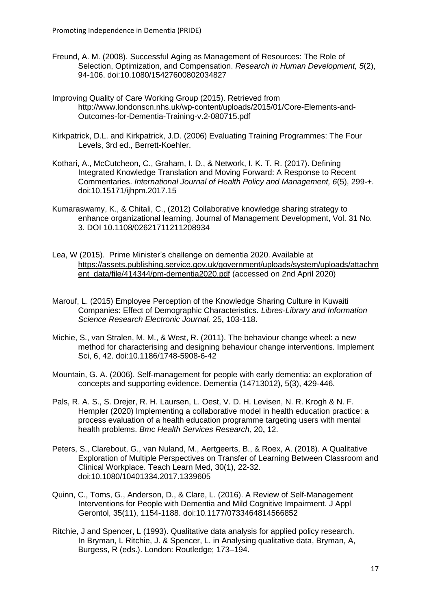- Freund, A. M. (2008). Successful Aging as Management of Resources: The Role of Selection, Optimization, and Compensation. *Research in Human Development, 5*(2), 94-106. doi:10.1080/15427600802034827
- Improving Quality of Care Working Group (2015). Retrieved from http://www.londonscn.nhs.uk/wp-content/uploads/2015/01/Core-Elements-and-Outcomes-for-Dementia-Training-v.2-080715.pdf
- Kirkpatrick, D.L. and Kirkpatrick, J.D. (2006) Evaluating Training Programmes: The Four Levels, 3rd ed., Berrett-Koehler.
- Kothari, A., McCutcheon, C., Graham, I. D., & Network, I. K. T. R. (2017). Defining Integrated Knowledge Translation and Moving Forward: A Response to Recent Commentaries. *International Journal of Health Policy and Management, 6*(5), 299-+. doi:10.15171/ijhpm.2017.15
- Kumaraswamy, K., & Chitali, C., (2012) Collaborative knowledge sharing strategy to enhance organizational learning. Journal of Management Development, Vol. 31 No. 3. DOI 10.1108/02621711211208934
- Lea, W (2015). Prime Minister's challenge on dementia 2020. Available at [https://assets.publishing.service.gov.uk/government/uploads/system/uploads/attachm](https://assets.publishing.service.gov.uk/government/uploads/system/uploads/attachment_data/file/414344/pm-dementia2020.pdf) [ent\\_data/file/414344/pm-dementia2020.pdf](https://assets.publishing.service.gov.uk/government/uploads/system/uploads/attachment_data/file/414344/pm-dementia2020.pdf) (accessed on 2nd April 2020)
- Marouf, L. (2015) Employee Perception of the Knowledge Sharing Culture in Kuwaiti Companies: Effect of Demographic Characteristics. *Libres-Library and Information Science Research Electronic Journal,* 25**,** 103-118.
- Michie, S., van Stralen, M. M., & West, R. (2011). The behaviour change wheel: a new method for characterising and designing behaviour change interventions. Implement Sci, 6, 42. doi:10.1186/1748-5908-6-42
- Mountain, G. A. (2006). Self-management for people with early dementia: an exploration of concepts and supporting evidence. Dementia (14713012), 5(3), 429-446.
- Pals, R. A. S., S. Drejer, R. H. Laursen, L. Oest, V. D. H. Levisen, N. R. Krogh & N. F. Hempler (2020) Implementing a collaborative model in health education practice: a process evaluation of a health education programme targeting users with mental health problems. *Bmc Health Services Research,* 20**,** 12.
- Peters, S., Clarebout, G., van Nuland, M., Aertgeerts, B., & Roex, A. (2018). A Qualitative Exploration of Multiple Perspectives on Transfer of Learning Between Classroom and Clinical Workplace. Teach Learn Med, 30(1), 22-32. doi:10.1080/10401334.2017.1339605
- Quinn, C., Toms, G., Anderson, D., & Clare, L. (2016). A Review of Self-Management Interventions for People with Dementia and Mild Cognitive Impairment. J Appl Gerontol, 35(11), 1154-1188. doi:10.1177/0733464814566852
- Ritchie, J and Spencer, L (1993). Qualitative data analysis for applied policy research. In Bryman, L Ritchie, J. & Spencer, L. in Analysing qualitative data, Bryman, A, Burgess, R (eds.). London: Routledge; 173–194.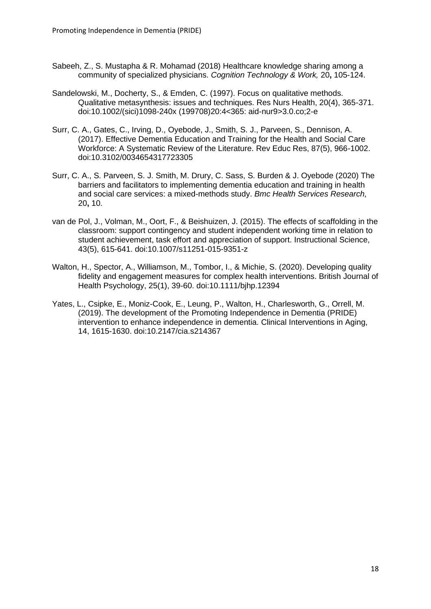- Sabeeh, Z., S. Mustapha & R. Mohamad (2018) Healthcare knowledge sharing among a community of specialized physicians. *Cognition Technology & Work,* 20**,** 105-124.
- Sandelowski, M., Docherty, S., & Emden, C. (1997). Focus on qualitative methods. Qualitative metasynthesis: issues and techniques. Res Nurs Health, 20(4), 365-371. doi:10.1002/(sici)1098-240x (199708)20:4<365: aid-nur9>3.0.co;2-e
- Surr, C. A., Gates, C., Irving, D., Oyebode, J., Smith, S. J., Parveen, S., Dennison, A. (2017). Effective Dementia Education and Training for the Health and Social Care Workforce: A Systematic Review of the Literature. Rev Educ Res, 87(5), 966-1002. doi:10.3102/0034654317723305
- Surr, C. A., S. Parveen, S. J. Smith, M. Drury, C. Sass, S. Burden & J. Oyebode (2020) The barriers and facilitators to implementing dementia education and training in health and social care services: a mixed-methods study. *Bmc Health Services Research,* 20**,** 10.
- van de Pol, J., Volman, M., Oort, F., & Beishuizen, J. (2015). The effects of scaffolding in the classroom: support contingency and student independent working time in relation to student achievement, task effort and appreciation of support. Instructional Science, 43(5), 615-641. doi:10.1007/s11251-015-9351-z
- Walton, H., Spector, A., Williamson, M., Tombor, I., & Michie, S. (2020). Developing quality fidelity and engagement measures for complex health interventions. British Journal of Health Psychology, 25(1), 39-60. doi:10.1111/bjhp.12394
- Yates, L., Csipke, E., Moniz-Cook, E., Leung, P., Walton, H., Charlesworth, G., Orrell, M. (2019). The development of the Promoting Independence in Dementia (PRIDE) intervention to enhance independence in dementia. Clinical Interventions in Aging, 14, 1615-1630. doi:10.2147/cia.s214367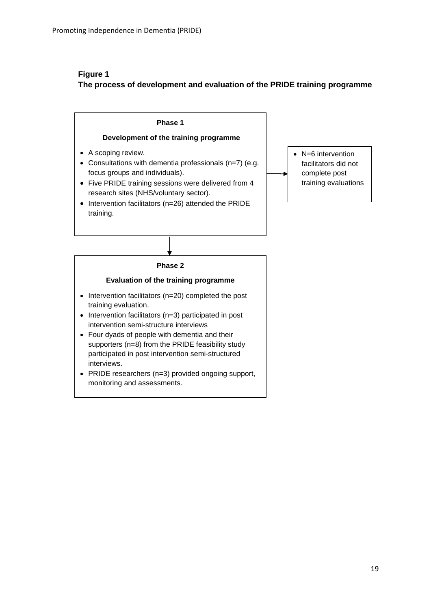# **Figure 1 The process of development and evaluation of the PRIDE training programme**

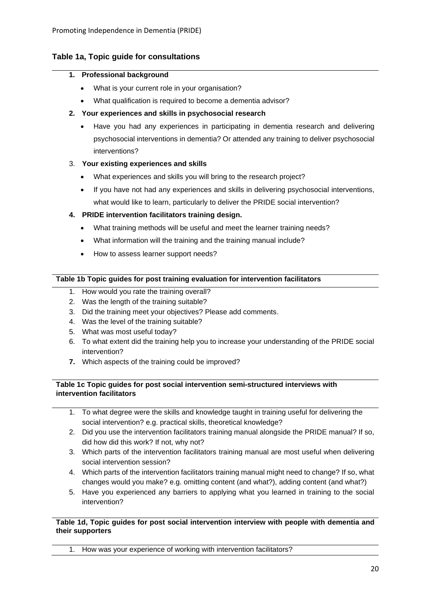# **Table 1a, Topic guide for consultations**

#### **1. Professional background**

- What is your current role in your organisation?
- What qualification is required to become a dementia advisor?
- **2. Your experiences and skills in psychosocial research**
	- Have you had any experiences in participating in dementia research and delivering psychosocial interventions in dementia? Or attended any training to deliver psychosocial interventions?

# 3. **Your existing experiences and skills**

- What experiences and skills you will bring to the research project?
- If you have not had any experiences and skills in delivering psychosocial interventions, what would like to learn, particularly to deliver the PRIDE social intervention?

# **4. PRIDE intervention facilitators training design.**

- What training methods will be useful and meet the learner training needs?
- What information will the training and the training manual include?
- How to assess learner support needs?

### **Table 1b Topic guides for post training evaluation for intervention facilitators**

- 1. How would you rate the training overall?
- 2. Was the length of the training suitable?
- 3. Did the training meet your objectives? Please add comments.
- 4. Was the level of the training suitable?
- 5. What was most useful today?
- 6. To what extent did the training help you to increase your understanding of the PRIDE social intervention?
- **7.** Which aspects of the training could be improved?

#### **Table 1c Topic guides for post social intervention semi-structured interviews with intervention facilitators**

- 1. To what degree were the skills and knowledge taught in training useful for delivering the social intervention? e.g. practical skills, theoretical knowledge?
- 2. Did you use the intervention facilitators training manual alongside the PRIDE manual? If so, did how did this work? If not, why not?
- 3. Which parts of the intervention facilitators training manual are most useful when delivering social intervention session?
- 4. Which parts of the intervention facilitators training manual might need to change? If so, what changes would you make? e.g. omitting content (and what?), adding content (and what?)
- 5. Have you experienced any barriers to applying what you learned in training to the social intervention?

#### **Table 1d, Topic guides for post social intervention interview with people with dementia and their supporters**

1. How was your experience of working with intervention facilitators?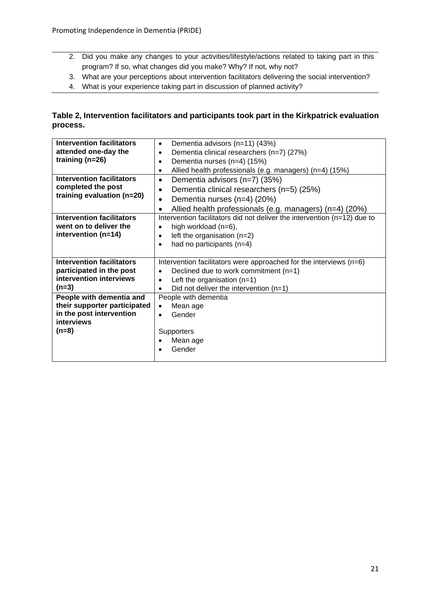- 2. Did you make any changes to your activities/lifestyle/actions related to taking part in this program? If so, what changes did you make? Why? If not, why not?
- 3. What are your perceptions about intervention facilitators delivering the social intervention?
- 4. What is your experience taking part in discussion of planned activity?

# **Table 2, Intervention facilitators and participants took part in the Kirkpatrick evaluation process.**

| <b>Intervention facilitators</b> | Dementia advisors (n=11) (43%)<br>$\bullet$                              |  |  |
|----------------------------------|--------------------------------------------------------------------------|--|--|
| attended one-day the             | Dementia clinical researchers (n=7) (27%)<br>٠                           |  |  |
| training $(n=26)$                | Dementia nurses (n=4) (15%)<br>$\bullet$                                 |  |  |
|                                  | Allied health professionals (e.g. managers) (n=4) (15%)<br>$\bullet$     |  |  |
| <b>Intervention facilitators</b> | Dementia advisors (n=7) (35%)<br>$\bullet$                               |  |  |
| completed the post               | Dementia clinical researchers (n=5) (25%)<br>$\bullet$                   |  |  |
| training evaluation (n=20)       | Dementia nurses (n=4) (20%)<br>$\bullet$                                 |  |  |
|                                  | Allied health professionals (e.g. managers) (n=4) (20%)<br>$\bullet$     |  |  |
| <b>Intervention facilitators</b> | Intervention facilitators did not deliver the intervention (n=12) due to |  |  |
| went on to deliver the           | high workload (n=6),<br>$\bullet$                                        |  |  |
| intervention (n=14)              | left the organisation $(n=2)$<br>$\bullet$                               |  |  |
|                                  | had no participants (n=4)<br>$\bullet$                                   |  |  |
|                                  |                                                                          |  |  |
| <b>Intervention facilitators</b> | Intervention facilitators were approached for the interviews (n=6)       |  |  |
| participated in the post         | Declined due to work commitment (n=1)<br>$\bullet$                       |  |  |
| intervention interviews          | Left the organisation $(n=1)$<br>$\bullet$                               |  |  |
| $(n=3)$                          | Did not deliver the intervention $(n=1)$<br>$\bullet$                    |  |  |
| People with dementia and         | People with dementia                                                     |  |  |
| their supporter participated     | Mean age<br>$\bullet$                                                    |  |  |
| in the post intervention         | Gender<br>$\bullet$                                                      |  |  |
| <b>interviews</b>                |                                                                          |  |  |
| $(n=8)$                          | Supporters                                                               |  |  |
|                                  | Mean age<br>٠                                                            |  |  |
|                                  |                                                                          |  |  |
|                                  | Gender                                                                   |  |  |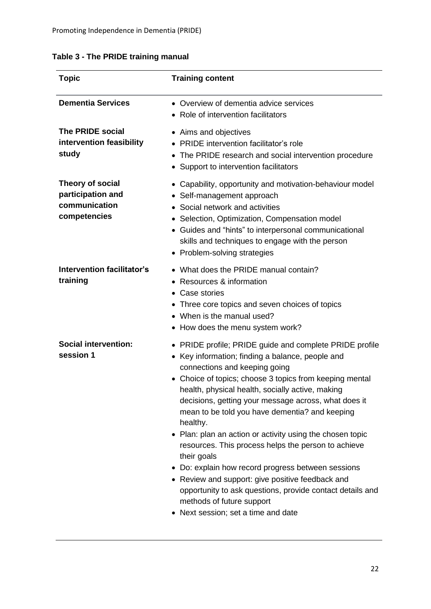|  |  |  | Table 3 - The PRIDE training manual |  |
|--|--|--|-------------------------------------|--|
|--|--|--|-------------------------------------|--|

| <b>Topic</b>                                                           | <b>Training content</b>                                                                                                                                                                                                                                                                                                                                                                                                                                                                                                                                                                                                                                                                                                                                         |
|------------------------------------------------------------------------|-----------------------------------------------------------------------------------------------------------------------------------------------------------------------------------------------------------------------------------------------------------------------------------------------------------------------------------------------------------------------------------------------------------------------------------------------------------------------------------------------------------------------------------------------------------------------------------------------------------------------------------------------------------------------------------------------------------------------------------------------------------------|
| <b>Dementia Services</b>                                               | • Overview of dementia advice services<br>• Role of intervention facilitators                                                                                                                                                                                                                                                                                                                                                                                                                                                                                                                                                                                                                                                                                   |
| <b>The PRIDE social</b><br>intervention feasibility<br>study           | • Aims and objectives<br>• PRIDE intervention facilitator's role<br>The PRIDE research and social intervention procedure<br>$\bullet$<br>• Support to intervention facilitators                                                                                                                                                                                                                                                                                                                                                                                                                                                                                                                                                                                 |
| Theory of social<br>participation and<br>communication<br>competencies | • Capability, opportunity and motivation-behaviour model<br>• Self-management approach<br>Social network and activities<br>• Selection, Optimization, Compensation model<br>• Guides and "hints" to interpersonal communicational<br>skills and techniques to engage with the person<br>• Problem-solving strategies                                                                                                                                                                                                                                                                                                                                                                                                                                            |
| <b>Intervention facilitator's</b><br>training                          | • What does the PRIDE manual contain?<br>Resources & information<br>Case stories<br>• Three core topics and seven choices of topics<br>• When is the manual used?<br>• How does the menu system work?                                                                                                                                                                                                                                                                                                                                                                                                                                                                                                                                                           |
| <b>Social intervention:</b><br>session 1                               | • PRIDE profile; PRIDE guide and complete PRIDE profile<br>• Key information; finding a balance, people and<br>connections and keeping going<br>• Choice of topics; choose 3 topics from keeping mental<br>health, physical health, socially active, making<br>decisions, getting your message across, what does it<br>mean to be told you have dementia? and keeping<br>healthy.<br>• Plan: plan an action or activity using the chosen topic<br>resources. This process helps the person to achieve<br>their goals<br>• Do: explain how record progress between sessions<br>• Review and support: give positive feedback and<br>opportunity to ask questions, provide contact details and<br>methods of future support<br>• Next session; set a time and date |